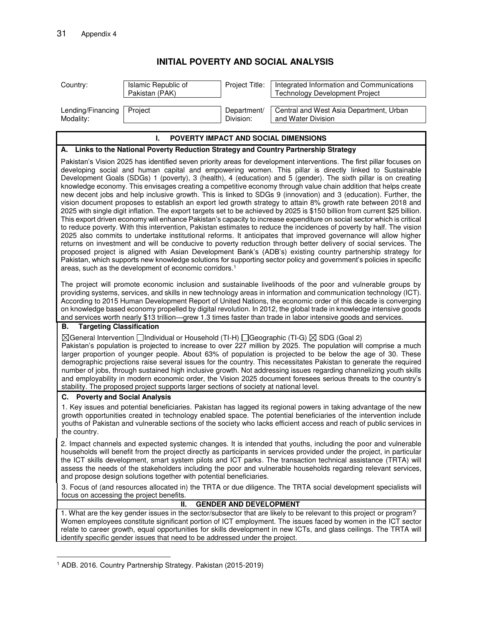## **1 INITIAL POVERTY AND SOCIAL ANALYSIS**

| Country:                                                                                                                                                                                                                                                                                                                                                                                                                                                                                                                                                                                                                                                                                                                                                                                                                                                                                                                                                                                                                                                                                                                                                                                                                                                                                                                                                                                                                                                                                                                                                                                                                                         | Islamic Republic of<br>Pakistan (PAK) | Project Title:           | Integrated Information and Communications<br><b>Technology Development Project</b> |  |
|--------------------------------------------------------------------------------------------------------------------------------------------------------------------------------------------------------------------------------------------------------------------------------------------------------------------------------------------------------------------------------------------------------------------------------------------------------------------------------------------------------------------------------------------------------------------------------------------------------------------------------------------------------------------------------------------------------------------------------------------------------------------------------------------------------------------------------------------------------------------------------------------------------------------------------------------------------------------------------------------------------------------------------------------------------------------------------------------------------------------------------------------------------------------------------------------------------------------------------------------------------------------------------------------------------------------------------------------------------------------------------------------------------------------------------------------------------------------------------------------------------------------------------------------------------------------------------------------------------------------------------------------------|---------------------------------------|--------------------------|------------------------------------------------------------------------------------|--|
| Lending/Financing<br>Modality:                                                                                                                                                                                                                                                                                                                                                                                                                                                                                                                                                                                                                                                                                                                                                                                                                                                                                                                                                                                                                                                                                                                                                                                                                                                                                                                                                                                                                                                                                                                                                                                                                   | Project                               | Department/<br>Division: | Central and West Asia Department, Urban<br>and Water Division                      |  |
| L.<br>POVERTY IMPACT AND SOCIAL DIMENSIONS                                                                                                                                                                                                                                                                                                                                                                                                                                                                                                                                                                                                                                                                                                                                                                                                                                                                                                                                                                                                                                                                                                                                                                                                                                                                                                                                                                                                                                                                                                                                                                                                       |                                       |                          |                                                                                    |  |
| A. Links to the National Poverty Reduction Strategy and Country Partnership Strategy                                                                                                                                                                                                                                                                                                                                                                                                                                                                                                                                                                                                                                                                                                                                                                                                                                                                                                                                                                                                                                                                                                                                                                                                                                                                                                                                                                                                                                                                                                                                                             |                                       |                          |                                                                                    |  |
| Pakistan's Vision 2025 has identified seven priority areas for development interventions. The first pillar focuses on<br>developing social and human capital and empowering women. This pillar is directly linked to Sustainable<br>Development Goals (SDGs) 1 (poverty), 3 (health), 4 (education) and 5 (gender). The sixth pillar is on creating<br>knowledge economy. This envisages creating a competitive economy through value chain addition that helps create<br>new decent jobs and help inclusive growth. This is linked to SDGs 9 (innovation) and 3 (education). Further, the<br>vision document proposes to establish an export led growth strategy to attain 8% growth rate between 2018 and<br>2025 with single digit inflation. The export targets set to be achieved by 2025 is \$150 billion from current \$25 billion.<br>This export driven economy will enhance Pakistan's capacity to increase expenditure on social sector which is critical<br>to reduce poverty. With this intervention, Pakistan estimates to reduce the incidences of poverty by half. The vision<br>2025 also commits to undertake institutional reforms. It anticipates that improved governance will allow higher<br>returns on investment and will be conducive to poverty reduction through better delivery of social services. The<br>proposed project is aligned with Asian Development Bank's (ADB's) existing country partnership strategy for<br>Pakistan, which supports new knowledge solutions for supporting sector policy and government's policies in specific<br>areas, such as the development of economic corridors. <sup>1</sup> |                                       |                          |                                                                                    |  |
| The project will promote economic inclusion and sustainable livelihoods of the poor and vulnerable groups by<br>providing systems, services, and skills in new technology areas in information and communication technology (ICT).<br>According to 2015 Human Development Report of United Nations, the economic order of this decade is converging<br>on knowledge based economy propelled by digital revolution. In 2012, the global trade in knowledge intensive goods<br>and services worth nearly \$13 trillion—grew 1.3 times faster than trade in labor intensive goods and services.                                                                                                                                                                                                                                                                                                                                                                                                                                                                                                                                                                                                                                                                                                                                                                                                                                                                                                                                                                                                                                                     |                                       |                          |                                                                                    |  |
| <b>Targeting Classification</b><br>В.                                                                                                                                                                                                                                                                                                                                                                                                                                                                                                                                                                                                                                                                                                                                                                                                                                                                                                                                                                                                                                                                                                                                                                                                                                                                                                                                                                                                                                                                                                                                                                                                            |                                       |                          |                                                                                    |  |
| $\boxtimes$ General Intervention $\Box$ Individual or Household (TI-H) $\Box$ Geographic (TI-G) $\boxtimes$ SDG (Goal 2)<br>Pakistan's population is projected to increase to over 227 million by 2025. The population will comprise a much<br>larger proportion of younger people. About 63% of population is projected to be below the age of 30. These<br>demographic projections raise several issues for the country. This necessitates Pakistan to generate the required<br>number of jobs, through sustained high inclusive growth. Not addressing issues regarding channelizing youth skills<br>and employability in modern economic order, the Vision 2025 document foresees serious threats to the country's<br>stability. The proposed project supports larger sections of society at national level.                                                                                                                                                                                                                                                                                                                                                                                                                                                                                                                                                                                                                                                                                                                                                                                                                                 |                                       |                          |                                                                                    |  |
| C. Poverty and Social Analysis                                                                                                                                                                                                                                                                                                                                                                                                                                                                                                                                                                                                                                                                                                                                                                                                                                                                                                                                                                                                                                                                                                                                                                                                                                                                                                                                                                                                                                                                                                                                                                                                                   |                                       |                          |                                                                                    |  |
| 1. Key issues and potential beneficiaries. Pakistan has lagged its regional powers in taking advantage of the new<br>growth opportunities created in technology enabled space. The potential beneficiaries of the intervention include<br>youths of Pakistan and vulnerable sections of the society who lacks efficient access and reach of public services in<br>the country.                                                                                                                                                                                                                                                                                                                                                                                                                                                                                                                                                                                                                                                                                                                                                                                                                                                                                                                                                                                                                                                                                                                                                                                                                                                                   |                                       |                          |                                                                                    |  |
| 2. Impact channels and expected systemic changes. It is intended that youths, including the poor and vulnerable<br>households will benefit from the project directly as participants in services provided under the project, in particular<br>the ICT skills development, smart system pilots and ICT parks. The transaction technical assistance (TRTA) will<br>assess the needs of the stakeholders including the poor and vulnerable households regarding relevant services,<br>and propose design solutions together with potential beneficiaries.                                                                                                                                                                                                                                                                                                                                                                                                                                                                                                                                                                                                                                                                                                                                                                                                                                                                                                                                                                                                                                                                                           |                                       |                          |                                                                                    |  |
| 3. Focus of (and resources allocated in) the TRTA or due diligence. The TRTA social development specialists will<br>focus on accessing the project benefits.                                                                                                                                                                                                                                                                                                                                                                                                                                                                                                                                                                                                                                                                                                                                                                                                                                                                                                                                                                                                                                                                                                                                                                                                                                                                                                                                                                                                                                                                                     |                                       |                          |                                                                                    |  |
| <b>GENDER AND DEVELOPMENT</b><br>Ш.                                                                                                                                                                                                                                                                                                                                                                                                                                                                                                                                                                                                                                                                                                                                                                                                                                                                                                                                                                                                                                                                                                                                                                                                                                                                                                                                                                                                                                                                                                                                                                                                              |                                       |                          |                                                                                    |  |
| 1. What are the key gender issues in the sector/subsector that are likely to be relevant to this project or program?<br>Women employees constitute significant portion of ICT employment. The issues faced by women in the ICT sector<br>relate to career growth, equal opportunities for skills development in new ICTs, and glass ceilings. The TRTA will<br>identify specific gender issues that need to be addressed under the project.                                                                                                                                                                                                                                                                                                                                                                                                                                                                                                                                                                                                                                                                                                                                                                                                                                                                                                                                                                                                                                                                                                                                                                                                      |                                       |                          |                                                                                    |  |

 1 ADB. 2016. Country Partnership Strategy. Pakistan (2015-2019)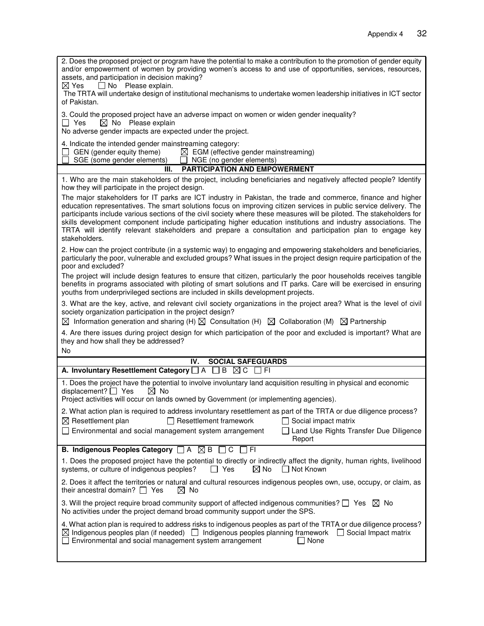| 2. Does the proposed project or program have the potential to make a contribution to the promotion of gender equity<br>and/or empowerment of women by providing women's access to and use of opportunities, services, resources,<br>assets, and participation in decision making?<br>□ No Please explain.<br>$\boxtimes$ Yes                                                                                                                                                                                                                                                                                |  |  |  |
|-------------------------------------------------------------------------------------------------------------------------------------------------------------------------------------------------------------------------------------------------------------------------------------------------------------------------------------------------------------------------------------------------------------------------------------------------------------------------------------------------------------------------------------------------------------------------------------------------------------|--|--|--|
| The TRTA will undertake design of institutional mechanisms to undertake women leadership initiatives in ICT sector<br>of Pakistan.                                                                                                                                                                                                                                                                                                                                                                                                                                                                          |  |  |  |
| 3. Could the proposed project have an adverse impact on women or widen gender inequality?<br>$\boxtimes$ No Please explain<br>□ Yes<br>No adverse gender impacts are expected under the project.                                                                                                                                                                                                                                                                                                                                                                                                            |  |  |  |
| 4. Indicate the intended gender mainstreaming category:<br>$\Box$ GEN (gender equity theme) $\boxtimes$ EGM (effective gender mainstreaming)<br>SGE (some gender elements)<br>$\Box$ NGE (no gender elements)                                                                                                                                                                                                                                                                                                                                                                                               |  |  |  |
| <b>PARTICIPATION AND EMPOWERMENT</b><br>Ш.                                                                                                                                                                                                                                                                                                                                                                                                                                                                                                                                                                  |  |  |  |
| 1. Who are the main stakeholders of the project, including beneficiaries and negatively affected people? Identify<br>how they will participate in the project design.                                                                                                                                                                                                                                                                                                                                                                                                                                       |  |  |  |
| The major stakeholders for IT parks are ICT industry in Pakistan, the trade and commerce, finance and higher<br>education representatives. The smart solutions focus on improving citizen services in public service delivery. The<br>participants include various sections of the civil society where these measures will be piloted. The stakeholders for<br>skills development component include participating higher education institutions and industry associations. The<br>TRTA will identify relevant stakeholders and prepare a consultation and participation plan to engage key<br>stakeholders. |  |  |  |
| 2. How can the project contribute (in a systemic way) to engaging and empowering stakeholders and beneficiaries,<br>particularly the poor, vulnerable and excluded groups? What issues in the project design require participation of the<br>poor and excluded?                                                                                                                                                                                                                                                                                                                                             |  |  |  |
| The project will include design features to ensure that citizen, particularly the poor households receives tangible<br>benefits in programs associated with piloting of smart solutions and IT parks. Care will be exercised in ensuring<br>youths from underprivileged sections are included in skills development projects.                                                                                                                                                                                                                                                                               |  |  |  |
| 3. What are the key, active, and relevant civil society organizations in the project area? What is the level of civil<br>society organization participation in the project design?<br>$\boxtimes$ Information generation and sharing (H) $\boxtimes$ Consultation (H) $\boxtimes$ Collaboration (M) $\boxtimes$ Partnership                                                                                                                                                                                                                                                                                 |  |  |  |
| 4. Are there issues during project design for which participation of the poor and excluded is important? What are<br>they and how shall they be addressed?<br><b>No</b>                                                                                                                                                                                                                                                                                                                                                                                                                                     |  |  |  |
| <b>SOCIAL SAFEGUARDS</b><br>IV.                                                                                                                                                                                                                                                                                                                                                                                                                                                                                                                                                                             |  |  |  |
| A. Involuntary Resettlement Category $\Box$ A $\Box$ B<br>$\boxtimes$ C<br>- I FI                                                                                                                                                                                                                                                                                                                                                                                                                                                                                                                           |  |  |  |
| 1. Does the project have the potential to involve involuntary land acquisition resulting in physical and economic<br>displacement? $\Box$ Yes<br>$\boxtimes$ No<br>Project activities will occur on lands owned by Government (or implementing agencies).                                                                                                                                                                                                                                                                                                                                                   |  |  |  |
| 2. What action plan is required to address involuntary resettlement as part of the TRTA or due diligence process?<br>$\Box$ Resettlement framework<br>$\boxtimes$ Resettlement plan<br>$\Box$ Social impact matrix<br>□ Environmental and social management system arrangement<br>Land Use Rights Transfer Due Diligence<br>Report                                                                                                                                                                                                                                                                          |  |  |  |
| <b>B. Indigenous Peoples Category</b> □ A <b>⊠ B</b> □ C □ FI                                                                                                                                                                                                                                                                                                                                                                                                                                                                                                                                               |  |  |  |
| 1. Does the proposed project have the potential to directly or indirectly affect the dignity, human rights, livelihood<br>$\boxtimes$ No<br>$\Box$ Not Known<br>systems, or culture of indigenous peoples?<br>l I Yes                                                                                                                                                                                                                                                                                                                                                                                       |  |  |  |
| 2. Does it affect the territories or natural and cultural resources indigenous peoples own, use, occupy, or claim, as<br>their ancestral domain? $\Box$ Yes<br>No.<br>$\bowtie$                                                                                                                                                                                                                                                                                                                                                                                                                             |  |  |  |
| 3. Will the project require broad community support of affected indigenous communities? $\Box$ Yes $\boxtimes$ No<br>No activities under the project demand broad community support under the SPS.                                                                                                                                                                                                                                                                                                                                                                                                          |  |  |  |
| 4. What action plan is required to address risks to indigenous peoples as part of the TRTA or due diligence process?<br>$\boxtimes$ Indigenous peoples plan (if needed) $\Box$ Indigenous peoples planning framework $\Box$ Social Impact matrix<br>$\Box$ Environmental and social management system arrangement<br>$\Box$ None                                                                                                                                                                                                                                                                            |  |  |  |
|                                                                                                                                                                                                                                                                                                                                                                                                                                                                                                                                                                                                             |  |  |  |